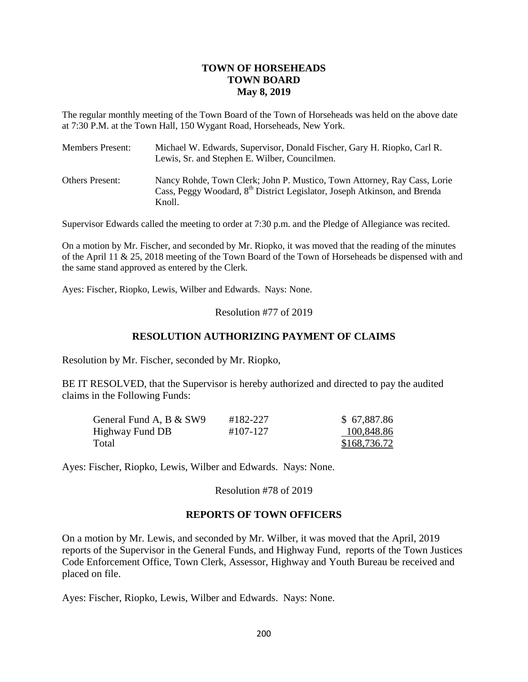# **TOWN OF HORSEHEADS TOWN BOARD May 8, 2019**

The regular monthly meeting of the Town Board of the Town of Horseheads was held on the above date at 7:30 P.M. at the Town Hall, 150 Wygant Road, Horseheads, New York.

| <b>Members Present:</b> | Michael W. Edwards, Supervisor, Donald Fischer, Gary H. Riopko, Carl R.<br>Lewis, Sr. and Stephen E. Wilber, Councilmen.                                                    |
|-------------------------|-----------------------------------------------------------------------------------------------------------------------------------------------------------------------------|
| <b>Others Present:</b>  | Nancy Rohde, Town Clerk; John P. Mustico, Town Attorney, Ray Cass, Lorie<br>Cass, Peggy Woodard, 8 <sup>th</sup> District Legislator, Joseph Atkinson, and Brenda<br>Knoll. |

Supervisor Edwards called the meeting to order at 7:30 p.m. and the Pledge of Allegiance was recited.

On a motion by Mr. Fischer, and seconded by Mr. Riopko, it was moved that the reading of the minutes of the April 11 & 25, 2018 meeting of the Town Board of the Town of Horseheads be dispensed with and the same stand approved as entered by the Clerk.

Ayes: Fischer, Riopko, Lewis, Wilber and Edwards. Nays: None.

## Resolution #77 of 2019

## **RESOLUTION AUTHORIZING PAYMENT OF CLAIMS**

Resolution by Mr. Fischer, seconded by Mr. Riopko,

BE IT RESOLVED, that the Supervisor is hereby authorized and directed to pay the audited claims in the Following Funds:

| General Fund A, B & SW9 | #182-227 | \$67,887.86  |
|-------------------------|----------|--------------|
| Highway Fund DB         | #107-127 | 100,848.86   |
| Total                   |          | \$168,736.72 |

Ayes: Fischer, Riopko, Lewis, Wilber and Edwards. Nays: None.

Resolution #78 of 2019

#### **REPORTS OF TOWN OFFICERS**

On a motion by Mr. Lewis, and seconded by Mr. Wilber, it was moved that the April, 2019 reports of the Supervisor in the General Funds, and Highway Fund, reports of the Town Justices Code Enforcement Office, Town Clerk, Assessor, Highway and Youth Bureau be received and placed on file.

Ayes: Fischer, Riopko, Lewis, Wilber and Edwards. Nays: None.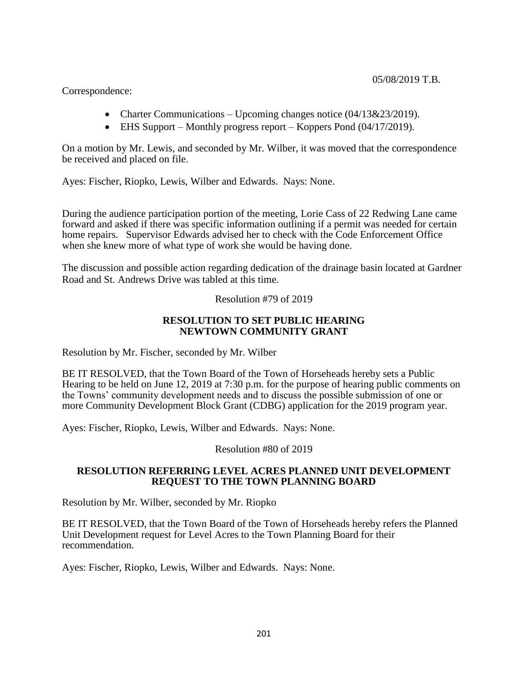Correspondence:

- Charter Communications Upcoming changes notice  $(04/13&23/2019)$ .
- EHS Support Monthly progress report Koppers Pond (04/17/2019).

On a motion by Mr. Lewis, and seconded by Mr. Wilber, it was moved that the correspondence be received and placed on file.

Ayes: Fischer, Riopko, Lewis, Wilber and Edwards. Nays: None.

During the audience participation portion of the meeting, Lorie Cass of 22 Redwing Lane came forward and asked if there was specific information outlining if a permit was needed for certain home repairs. Supervisor Edwards advised her to check with the Code Enforcement Office when she knew more of what type of work she would be having done.

The discussion and possible action regarding dedication of the drainage basin located at Gardner Road and St. Andrews Drive was tabled at this time.

Resolution #79 of 2019

## **RESOLUTION TO SET PUBLIC HEARING NEWTOWN COMMUNITY GRANT**

Resolution by Mr. Fischer, seconded by Mr. Wilber

BE IT RESOLVED, that the Town Board of the Town of Horseheads hereby sets a Public Hearing to be held on June 12, 2019 at 7:30 p.m. for the purpose of hearing public comments on the Towns' community development needs and to discuss the possible submission of one or more Community Development Block Grant (CDBG) application for the 2019 program year.

Ayes: Fischer, Riopko, Lewis, Wilber and Edwards. Nays: None.

Resolution #80 of 2019

## **RESOLUTION REFERRING LEVEL ACRES PLANNED UNIT DEVELOPMENT REQUEST TO THE TOWN PLANNING BOARD**

Resolution by Mr. Wilber, seconded by Mr. Riopko

BE IT RESOLVED, that the Town Board of the Town of Horseheads hereby refers the Planned Unit Development request for Level Acres to the Town Planning Board for their recommendation.

Ayes: Fischer, Riopko, Lewis, Wilber and Edwards. Nays: None.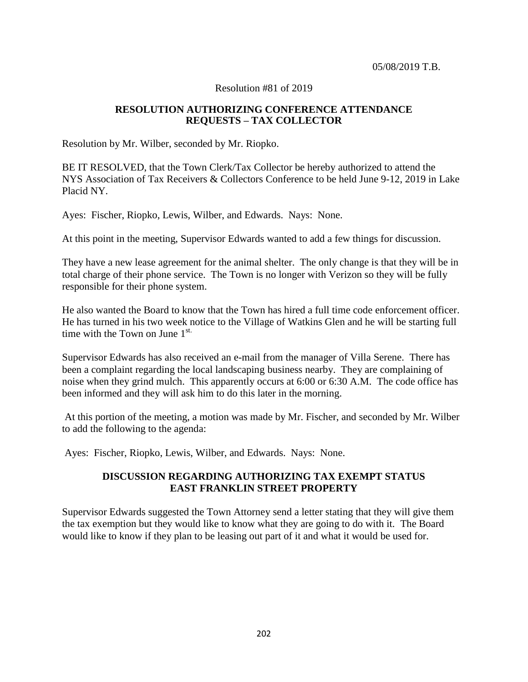### Resolution #81 of 2019

# **RESOLUTION AUTHORIZING CONFERENCE ATTENDANCE REQUESTS – TAX COLLECTOR**

Resolution by Mr. Wilber, seconded by Mr. Riopko.

BE IT RESOLVED, that the Town Clerk/Tax Collector be hereby authorized to attend the NYS Association of Tax Receivers & Collectors Conference to be held June 9-12, 2019 in Lake Placid NY.

Ayes: Fischer, Riopko, Lewis, Wilber, and Edwards. Nays: None.

At this point in the meeting, Supervisor Edwards wanted to add a few things for discussion.

They have a new lease agreement for the animal shelter. The only change is that they will be in total charge of their phone service. The Town is no longer with Verizon so they will be fully responsible for their phone system.

He also wanted the Board to know that the Town has hired a full time code enforcement officer. He has turned in his two week notice to the Village of Watkins Glen and he will be starting full time with the Town on June  $1^{st.}$ 

Supervisor Edwards has also received an e-mail from the manager of Villa Serene. There has been a complaint regarding the local landscaping business nearby. They are complaining of noise when they grind mulch. This apparently occurs at 6:00 or 6:30 A.M. The code office has been informed and they will ask him to do this later in the morning.

At this portion of the meeting, a motion was made by Mr. Fischer, and seconded by Mr. Wilber to add the following to the agenda:

Ayes: Fischer, Riopko, Lewis, Wilber, and Edwards. Nays: None.

# **DISCUSSION REGARDING AUTHORIZING TAX EXEMPT STATUS EAST FRANKLIN STREET PROPERTY**

Supervisor Edwards suggested the Town Attorney send a letter stating that they will give them the tax exemption but they would like to know what they are going to do with it. The Board would like to know if they plan to be leasing out part of it and what it would be used for.